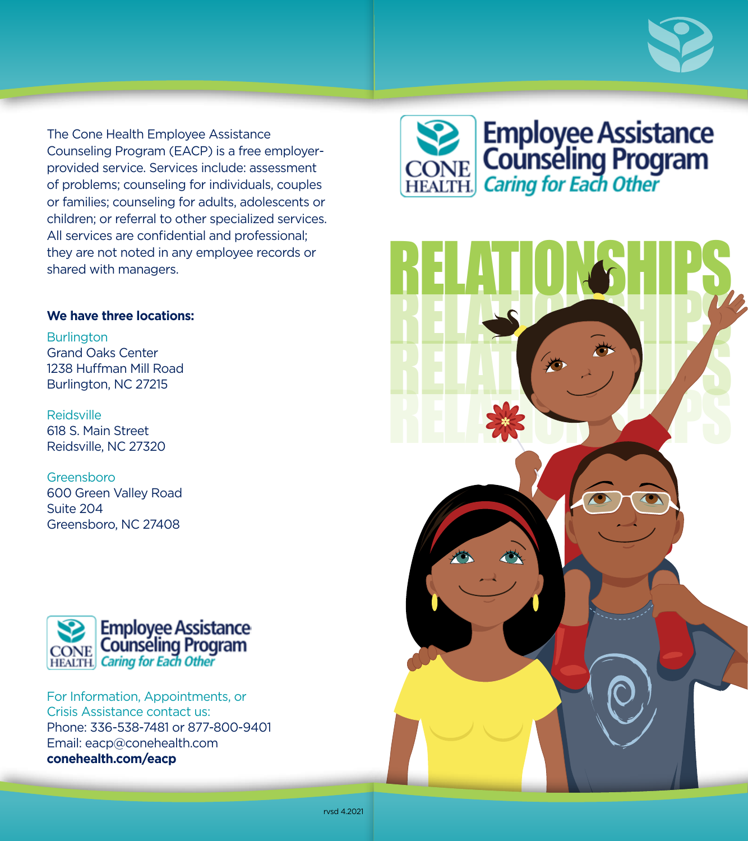

The Cone Health Employee Assistance Counseling Program (EACP) is a free employerprovided service. Services include: assessment of problems; counseling for individuals, couples or families; counseling for adults, adolescents or children; or referral to other specialized services. All services are confidential and professional; they are not noted in any employee records or shared with managers.

## **We have three locations:**

**Burlington** Grand Oaks Center 1238 Huffman Mill Road Burlington, NC 27215

Reidsville 618 S. Main Street Reidsville, NC 27320

Greensboro 600 Green Valley Road Suite 204 Greensboro, NC 27408



For Information, Appointments, or Crisis Assistance contact us: Phone: 336-538-7481 or 877-800-9401 Email: eacp@conehealth.com **conehealth.com/eacp**